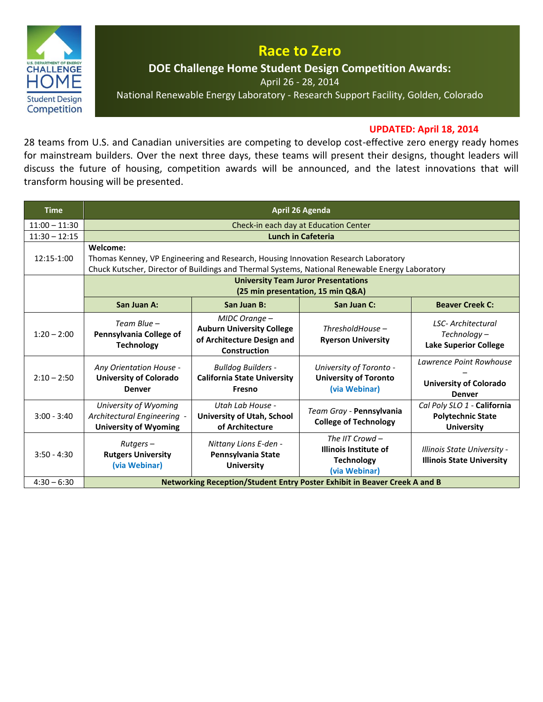

## **Race to Zero**

**DOE Challenge Home Student Design Competition Awards:** 

April 26 - 28, 2014

National Renewable Energy Laboratory - Research Support Facility, Golden, Colorado

## **UPDATED: April 18, 2014**

28 teams from U.S. and Canadian universities are competing to develop cost-effective zero energy ready homes for mainstream builders. Over the next three days, these teams will present their designs, thought leaders will discuss the future of housing, competition awards will be announced, and the latest innovations that will transform housing will be presented.

| <b>Time</b>     | <b>April 26 Agenda</b>                                                                                                                                                                            |                                                                                                 |                                                                                  |                                                                           |  |
|-----------------|---------------------------------------------------------------------------------------------------------------------------------------------------------------------------------------------------|-------------------------------------------------------------------------------------------------|----------------------------------------------------------------------------------|---------------------------------------------------------------------------|--|
| $11:00 - 11:30$ | Check-in each day at Education Center                                                                                                                                                             |                                                                                                 |                                                                                  |                                                                           |  |
| $11:30 - 12:15$ | <b>Lunch in Cafeteria</b>                                                                                                                                                                         |                                                                                                 |                                                                                  |                                                                           |  |
| 12:15-1:00      | Welcome:<br>Thomas Kenney, VP Engineering and Research, Housing Innovation Research Laboratory<br>Chuck Kutscher, Director of Buildings and Thermal Systems, National Renewable Energy Laboratory |                                                                                                 |                                                                                  |                                                                           |  |
|                 | <b>University Team Juror Presentations</b><br>(25 min presentation, 15 min Q&A)                                                                                                                   |                                                                                                 |                                                                                  |                                                                           |  |
|                 | San Juan A:                                                                                                                                                                                       | San Juan B:                                                                                     | San Juan C:                                                                      | <b>Beaver Creek C:</b>                                                    |  |
| $1:20 - 2:00$   | Team Blue -<br>Pennsylvania College of<br><b>Technology</b>                                                                                                                                       | MIDC Orange -<br><b>Auburn University College</b><br>of Architecture Design and<br>Construction | $ThresholdHouse -$<br><b>Ryerson University</b>                                  | <b>LSC-Architectural</b><br>Technoloav-<br><b>Lake Superior College</b>   |  |
| $2:10 - 2:50$   | Any Orientation House -<br><b>University of Colorado</b><br><b>Denver</b>                                                                                                                         | <b>Bulldog Builders -</b><br><b>California State University</b><br>Fresno                       | University of Toronto -<br><b>University of Toronto</b><br>(via Webinar)         | Lawrence Point Rowhouse<br><b>University of Colorado</b><br><b>Denver</b> |  |
| $3:00 - 3:40$   | University of Wyoming<br>Architectural Engineering -<br><b>University of Wyoming</b>                                                                                                              | Utah Lah House -<br><b>University of Utah, School</b><br>of Architecture                        | Team Gray - Pennsylvania<br><b>College of Technology</b>                         | Cal Poly SLO 1 - California<br><b>Polytechnic State</b><br>University     |  |
| $3:50 - 4:30$   | $Rutgers -$<br><b>Rutgers University</b><br>(via Webinar)                                                                                                                                         | Nittany Lions E-den -<br>Pennsylvania State<br><b>University</b>                                | The IIT Crowd $-$<br>Illinois Institute of<br><b>Technology</b><br>(via Webinar) | Illinois State University -<br><b>Illinois State University</b>           |  |
| $4:30 - 6:30$   | Networking Reception/Student Entry Poster Exhibit in Beaver Creek A and B                                                                                                                         |                                                                                                 |                                                                                  |                                                                           |  |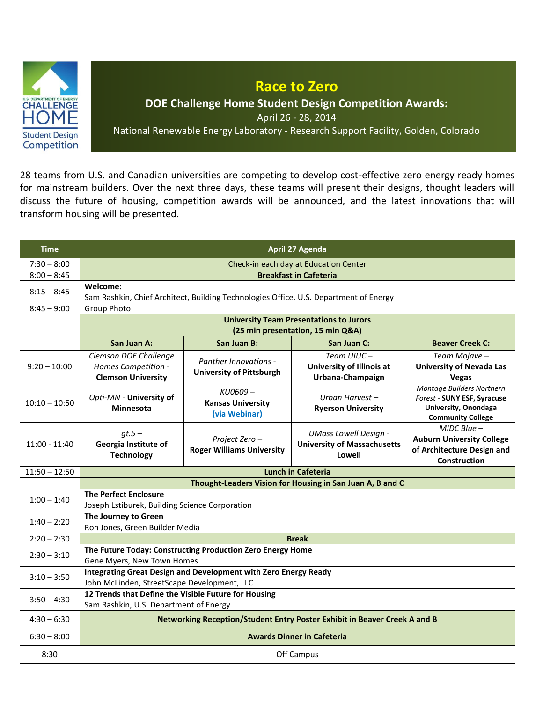

28 teams from U.S. and Canadian universities are competing to develop cost-effective zero energy ready homes for mainstream builders. Over the next three days, these teams will present their designs, thought leaders will discuss the future of housing, competition awards will be announced, and the latest innovations that will transform housing will be presented.

| <b>Time</b>     | <b>April 27 Agenda</b>                                                                                         |                                                                 |                                                                              |                                                                                                              |  |  |
|-----------------|----------------------------------------------------------------------------------------------------------------|-----------------------------------------------------------------|------------------------------------------------------------------------------|--------------------------------------------------------------------------------------------------------------|--|--|
| $7:30 - 8:00$   | Check-in each day at Education Center                                                                          |                                                                 |                                                                              |                                                                                                              |  |  |
| $8:00 - 8:45$   |                                                                                                                | <b>Breakfast in Cafeteria</b>                                   |                                                                              |                                                                                                              |  |  |
| $8:15 - 8:45$   | Welcome:<br>Sam Rashkin, Chief Architect, Building Technologies Office, U.S. Department of Energy              |                                                                 |                                                                              |                                                                                                              |  |  |
| $8:45 - 9:00$   | <b>Group Photo</b>                                                                                             |                                                                 |                                                                              |                                                                                                              |  |  |
|                 | <b>University Team Presentations to Jurors</b><br>(25 min presentation, 15 min Q&A)                            |                                                                 |                                                                              |                                                                                                              |  |  |
|                 | San Juan A:                                                                                                    | San Juan B:                                                     | San Juan C:                                                                  | <b>Beaver Creek C:</b>                                                                                       |  |  |
| $9:20 - 10:00$  | Clemson DOE Challenge<br>Homes Competition -<br><b>Clemson University</b>                                      | <b>Panther Innovations -</b><br><b>University of Pittsburgh</b> | Team UIUC-<br>University of Illinois at<br>Urbana-Champaign                  | Team Mojave-<br><b>University of Nevada Las</b><br>Vegas                                                     |  |  |
| $10:10 - 10:50$ | Opti-MN - University of<br><b>Minnesota</b>                                                                    | KU0609-<br><b>Kansas University</b><br>(via Webinar)            | Urban Harvest-<br><b>Ryerson University</b>                                  | Montage Builders Northern<br>Forest - SUNY ESF, Syracuse<br>University, Onondaga<br><b>Community College</b> |  |  |
| $11:00 - 11:40$ | $gt.5-$<br>Georgia Institute of<br><b>Technology</b>                                                           | Project Zero-<br><b>Roger Williams University</b>               | <b>UMass Lowell Design -</b><br><b>University of Massachusetts</b><br>Lowell | $MIDC Blue -$<br><b>Auburn University College</b><br>of Architecture Design and<br>Construction              |  |  |
| $11:50 - 12:50$ |                                                                                                                |                                                                 | <b>Lunch in Cafeteria</b>                                                    |                                                                                                              |  |  |
|                 |                                                                                                                | Thought-Leaders Vision for Housing in San Juan A, B and C       |                                                                              |                                                                                                              |  |  |
| $1:00 - 1:40$   | <b>The Perfect Enclosure</b><br>Joseph Lstiburek, Building Science Corporation                                 |                                                                 |                                                                              |                                                                                                              |  |  |
| $1:40 - 2:20$   | The Journey to Green<br>Ron Jones, Green Builder Media                                                         |                                                                 |                                                                              |                                                                                                              |  |  |
| $2:20 - 2:30$   | <b>Break</b>                                                                                                   |                                                                 |                                                                              |                                                                                                              |  |  |
| $2:30 - 3:10$   | The Future Today: Constructing Production Zero Energy Home<br>Gene Myers, New Town Homes                       |                                                                 |                                                                              |                                                                                                              |  |  |
| $3:10 - 3:50$   | Integrating Great Design and Development with Zero Energy Ready<br>John McLinden, StreetScape Development, LLC |                                                                 |                                                                              |                                                                                                              |  |  |
| $3:50 - 4:30$   | 12 Trends that Define the Visible Future for Housing<br>Sam Rashkin, U.S. Department of Energy                 |                                                                 |                                                                              |                                                                                                              |  |  |
| $4:30 - 6:30$   | Networking Reception/Student Entry Poster Exhibit in Beaver Creek A and B                                      |                                                                 |                                                                              |                                                                                                              |  |  |
| $6:30 - 8:00$   | <b>Awards Dinner in Cafeteria</b>                                                                              |                                                                 |                                                                              |                                                                                                              |  |  |
| 8:30            | Off Campus                                                                                                     |                                                                 |                                                                              |                                                                                                              |  |  |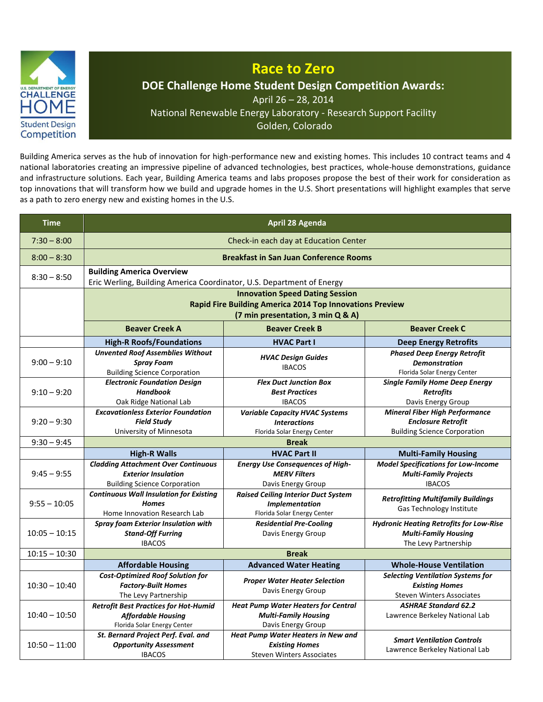

## **Race to Zero DOE Challenge Home Student Design Competition Awards:** April 26 – 28, 2014 National Renewable Energy Laboratory - Research Support Facility Golden, Colorado

Building America serves as the hub of innovation for high-performance new and existing homes. This includes 10 contract teams and 4 national laboratories creating an impressive pipeline of advanced technologies, best practices, whole-house demonstrations, guidance and infrastructure solutions. Each year, Building America teams and labs proposes propose the best of their work for consideration as top innovations that will transform how we build and upgrade homes in the U.S. Short presentations will highlight examples that serve as a path to zero energy new and existing homes in the U.S.

| <b>Time</b>     | April 28 Agenda                                                                                                                         |                                                                                                        |                                                                                                           |  |  |
|-----------------|-----------------------------------------------------------------------------------------------------------------------------------------|--------------------------------------------------------------------------------------------------------|-----------------------------------------------------------------------------------------------------------|--|--|
| $7:30 - 8:00$   | Check-in each day at Education Center                                                                                                   |                                                                                                        |                                                                                                           |  |  |
| $8:00 - 8:30$   | <b>Breakfast in San Juan Conference Rooms</b>                                                                                           |                                                                                                        |                                                                                                           |  |  |
| $8:30 - 8:50$   | <b>Building America Overview</b><br>Eric Werling, Building America Coordinator, U.S. Department of Energy                               |                                                                                                        |                                                                                                           |  |  |
|                 | <b>Innovation Speed Dating Session</b><br>Rapid Fire Building America 2014 Top Innovations Preview<br>(7 min presentation, 3 min Q & A) |                                                                                                        |                                                                                                           |  |  |
|                 | <b>Beaver Creek A</b>                                                                                                                   | <b>Beaver Creek B</b>                                                                                  | <b>Beaver Creek C</b>                                                                                     |  |  |
|                 | <b>High-R Roofs/Foundations</b>                                                                                                         | <b>HVAC Part I</b>                                                                                     | <b>Deep Energy Retrofits</b>                                                                              |  |  |
| $9:00 - 9:10$   | <b>Unvented Roof Assemblies Without</b><br><b>Spray Foam</b><br><b>Building Science Corporation</b>                                     | <b>HVAC Design Guides</b><br><b>IBACOS</b>                                                             | <b>Phased Deep Energy Retrofit</b><br><b>Demonstration</b><br>Florida Solar Energy Center                 |  |  |
| $9:10 - 9:20$   | <b>Electronic Foundation Design</b><br><b>Handbook</b><br>Oak Ridge National Lab                                                        | <b>Flex Duct Junction Box</b><br><b>Best Practices</b><br><b>IBACOS</b>                                | <b>Single Family Home Deep Energy</b><br><b>Retrofits</b><br>Davis Energy Group                           |  |  |
| $9:20 - 9:30$   | <b>Excavationless Exterior Foundation</b><br><b>Field Studv</b><br>University of Minnesota                                              | <b>Variable Capacity HVAC Systems</b><br><b>Interactions</b><br>Florida Solar Energy Center            | <b>Mineral Fiber High Performance</b><br><b>Enclosure Retrofit</b><br><b>Building Science Corporation</b> |  |  |
| $9:30 - 9:45$   | <b>Break</b>                                                                                                                            |                                                                                                        |                                                                                                           |  |  |
|                 | <b>High-R Walls</b>                                                                                                                     | <b>HVAC Part II</b>                                                                                    | <b>Multi-Family Housing</b>                                                                               |  |  |
| $9:45 - 9:55$   | <b>Cladding Attachment Over Continuous</b><br><b>Exterior Insulation</b><br><b>Building Science Corporation</b>                         | <b>Energy Use Consequences of High-</b><br><b>MERV Filters</b><br>Davis Energy Group                   | <b>Model Specifications for Low-Income</b><br><b>Multi-Family Projects</b><br><b>IBACOS</b>               |  |  |
| $9:55 - 10:05$  | <b>Continuous Wall Insulation for Existing</b><br><b>Homes</b><br>Home Innovation Research Lab                                          | <b>Raised Ceiling Interior Duct System</b><br><b>Implementation</b><br>Florida Solar Energy Center     | <b>Retrofitting Multifamily Buildings</b><br>Gas Technology Institute                                     |  |  |
| $10:05 - 10:15$ | <b>Spray foam Exterior Insulation with</b><br><b>Stand-Off Furring</b><br><b>IBACOS</b>                                                 | <b>Residential Pre-Cooling</b><br>Davis Energy Group                                                   | <b>Hydronic Heating Retrofits for Low-Rise</b><br><b>Multi-Family Housing</b><br>The Levy Partnership     |  |  |
| $10:15 - 10:30$ |                                                                                                                                         | <b>Break</b>                                                                                           |                                                                                                           |  |  |
|                 | <b>Affordable Housing</b>                                                                                                               | <b>Advanced Water Heating</b>                                                                          | <b>Whole-House Ventilation</b>                                                                            |  |  |
| $10:30 - 10:40$ | <b>Cost-Optimized Roof Solution for</b><br><b>Factory-Built Homes</b><br>The Levy Partnership                                           | <b>Proper Water Heater Selection</b><br>Davis Energy Group                                             | <b>Selecting Ventilation Systems for</b><br><b>Existing Homes</b><br><b>Steven Winters Associates</b>     |  |  |
| $10:40 - 10:50$ | <b>Retrofit Best Practices for Hot-Humid</b><br><b>Affordable Housing</b><br>Florida Solar Energy Center                                | <b>Heat Pump Water Heaters for Central</b><br><b>Multi-Family Housing</b><br>Davis Energy Group        | <b>ASHRAE Standard 62.2</b><br>Lawrence Berkeley National Lab                                             |  |  |
| $10:50 - 11:00$ | St. Bernard Project Perf. Eval. and<br><b>Opportunity Assessment</b><br><b>IBACOS</b>                                                   | <b>Heat Pump Water Heaters in New and</b><br><b>Existing Homes</b><br><b>Steven Winters Associates</b> | <b>Smart Ventilation Controls</b><br>Lawrence Berkeley National Lab                                       |  |  |